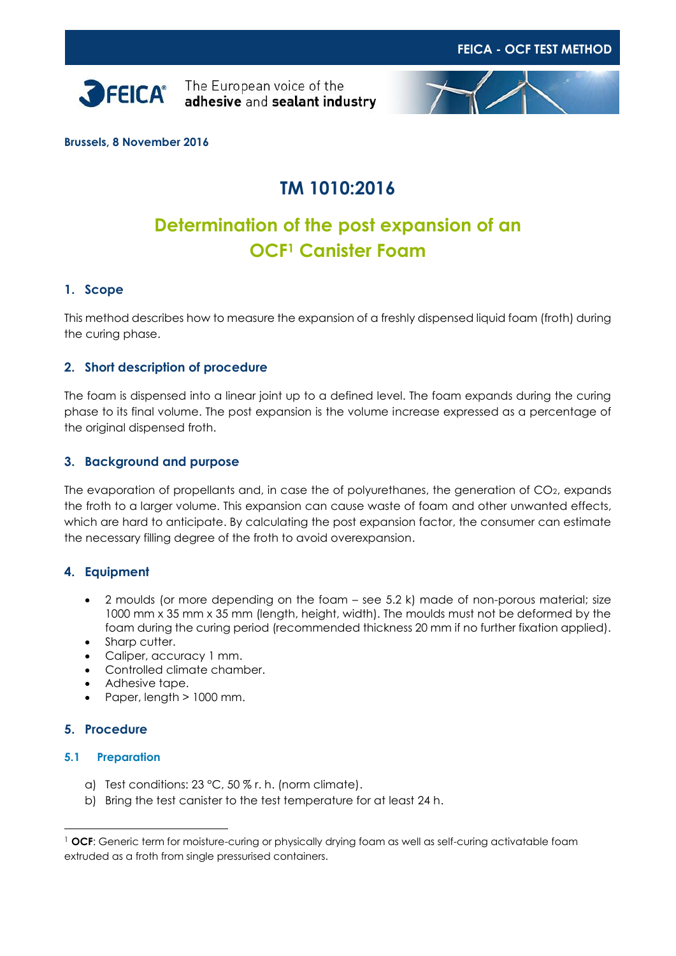



**Brussels, 8 November 2016**

# **TM 1010:2016**

# **Determination of the post expansion of an OCF<sup>1</sup> Canister Foam**

## **1. Scope**

This method describes how to measure the expansion of a freshly dispensed liquid foam (froth) during the curing phase.

## **2. Short description of procedure**

The foam is dispensed into a linear joint up to a defined level. The foam expands during the curing phase to its final volume. The post expansion is the volume increase expressed as a percentage of the original dispensed froth.

## **3. Background and purpose**

The evaporation of propellants and, in case the of polyurethanes, the generation of CO<sub>2</sub>, expands the froth to a larger volume. This expansion can cause waste of foam and other unwanted effects, which are hard to anticipate. By calculating the post expansion factor, the consumer can estimate the necessary filling degree of the froth to avoid overexpansion.

### **4. Equipment**

- 2 moulds (or more depending on the foam see 5.2 k) made of non-porous material; size 1000 mm x 35 mm x 35 mm (length, height, width). The moulds must not be deformed by the foam during the curing period (recommended thickness 20 mm if no further fixation applied).
- Sharp cutter.
- Caliper, accuracy 1 mm.
- Controlled climate chamber.
- Adhesive tape.
- Paper, length > 1000 mm.

### **5. Procedure**

-

### **5.1 Preparation**

- a) Test conditions: 23 °C, 50 % r. h. (norm climate).
- b) Bring the test canister to the test temperature for at least 24 h.

<sup>&</sup>lt;sup>1</sup> OCF: Generic term for moisture-curing or physically drying foam as well as self-curing activatable foam extruded as a froth from single pressurised containers.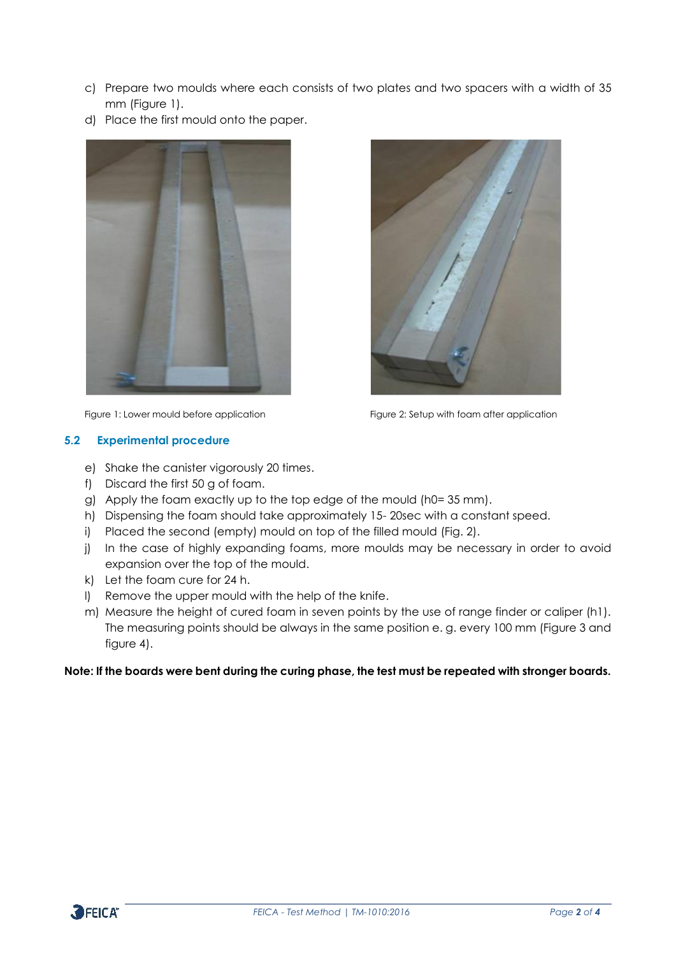- c) Prepare two moulds where each consists of two plates and two spacers with a width of 35 mm (Figure 1).
- d) Place the first mould onto the paper.



# Figure 1: Lower mould before application Figure 2: Setup with foam after application

**5.2 Experimental procedure**

- e) Shake the canister vigorously 20 times.
- f) Discard the first 50 g of foam.
- g) Apply the foam exactly up to the top edge of the mould (h0= 35 mm).
- h) Dispensing the foam should take approximately 15- 20sec with a constant speed.
- i) Placed the second (empty) mould on top of the filled mould (Fig. 2).
- j) In the case of highly expanding foams, more moulds may be necessary in order to avoid expansion over the top of the mould.
- k) Let the foam cure for 24 h.
- l) Remove the upper mould with the help of the knife.
- m) Measure the height of cured foam in seven points by the use of range finder or caliper (h1). The measuring points should be always in the same position e. g. every 100 mm (Figure 3 and figure 4).

### **Note: If the boards were bent during the curing phase, the test must be repeated with stronger boards.**

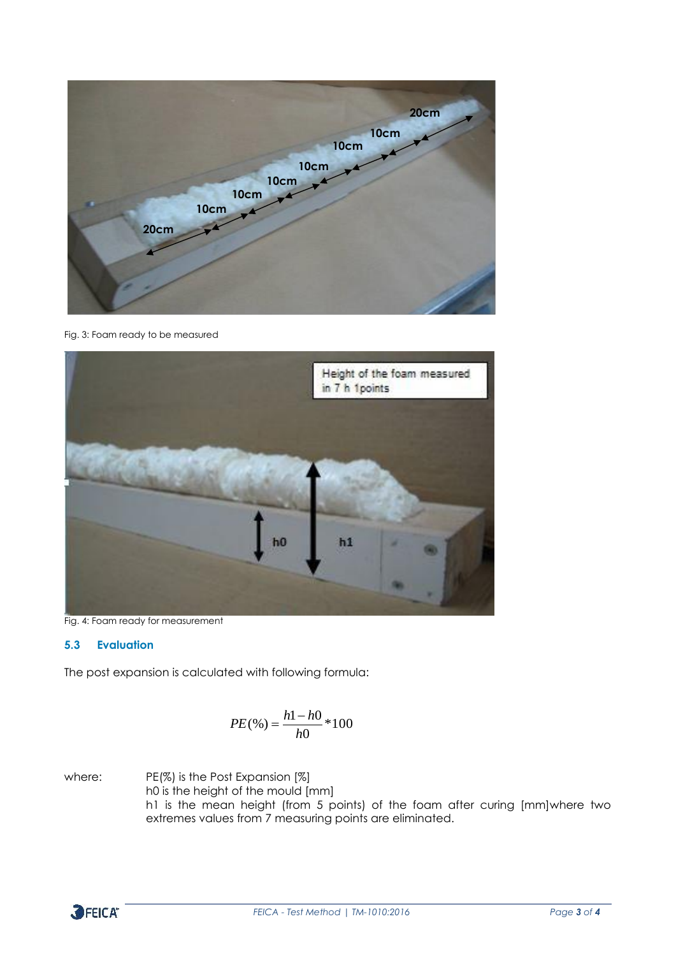

Fig. 3: Foam ready to be measured



Fig. 4: Foam ready for measurement

### **5.3 Evaluation**

The post expansion is calculated with following formula:

$$
PE(\%)=\frac{h1-h0}{h0}*100
$$

where: PE(%) is the Post Expansion [%] h0 is the height of the mould [mm] h1 is the mean height (from 5 points) of the foam after curing [mm]where two extremes values from 7 measuring points are eliminated.